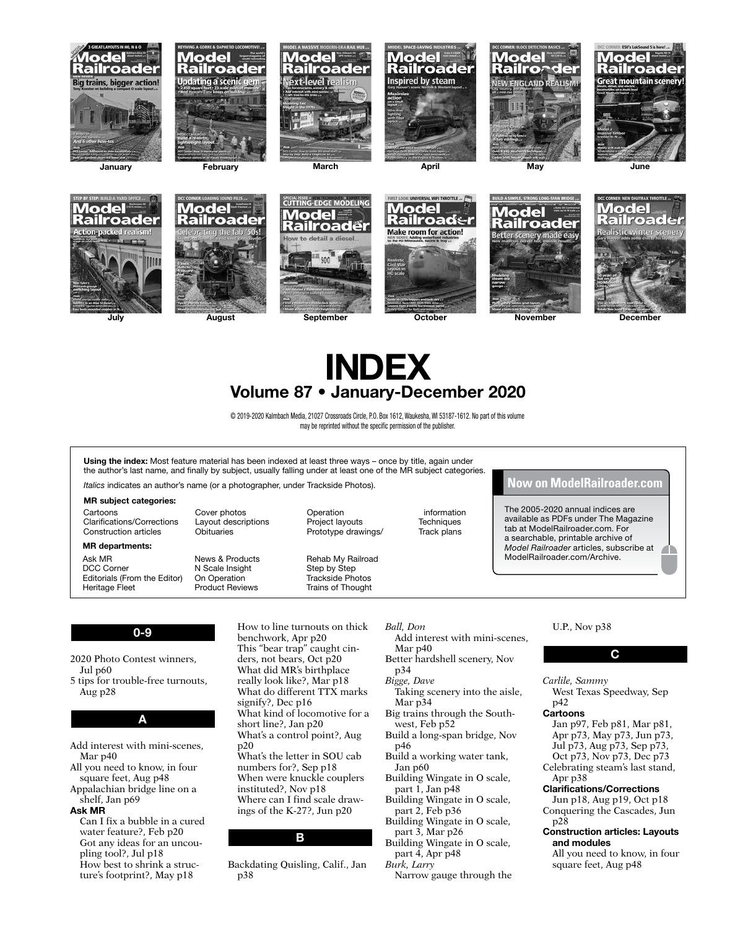





© 2019-2020 Kalmbach Media, 21027 Crossroads Circle, P.O. Box 1612, Waukesha, WI 53187-1612. No part of this volume may be reprinted without the specific permission of the publisher.

Using the index: Most feature material has been indexed at least three ways - once by title, again under the author's last name, and finally by subject, usually falling under at least one of the MR subject categories.

*Italics* indicates an author's name (or a photographer, under Trackside Photos).

### MR subject categories:

Cartoons Clarifications/Corrections Construction articles

### MR departments:

Ask MR DCC Corner Editorials (From the Editor) Heritage Fleet News & Products N Scale Insight On Operation Product Reviews

Cover photos Layout descriptions **Obituaries** 

Prototype drawings/ Rehab My Railroad Step by Step

Trackside Photos Trains of Thought

Operation Project layouts

**Techniques** Track plans

information

**Now on ModelRailroader.com**

The 2005-2020 annual indices are available as PDFs under The Magazine tab at ModelRailroader.com. For a searchable, printable archive of *Model Railroader* articles, subscribe at A ModelRailroader.com/Archive.

# 0-9

- 2020 Photo Contest winners, Jul p60
- 5 tips for trouble-free turnouts, Aug p28

### A

- Add interest with mini-scenes, Mar p40
- All you need to know, in four square feet, Aug p48
- Appalachian bridge line on a shelf, Jan p69

### Ask MR

Can I fix a bubble in a cured water feature?, Feb p20 Got any ideas for an uncoupling tool?, Jul p18 How best to shrink a structure's footprint?, May p18

How to line turnouts on thick benchwork, Apr p20 This "bear trap" caught cinders, not bears, Oct p20 What did MR's birthplace really look like?, Mar p18 What do different TTX marks signify?, Dec p16 What kind of locomotive for a short line?, Jan p20 What's a control point?, Aug p20 What's the letter in SOU cab numbers for?, Sep p18 When were knuckle couplers instituted?, Nov p18 Where can I find scale drawings of the K-27?, Jun p20

### B

Backdating Quisling, Calif., Jan p38

### *Ball, Don*

Add interest with mini-scenes, Mar p40

- Better hardshell scenery, Nov p34
- *Bigge, Dave*

### Taking scenery into the aisle, Mar p34 Big trains through the South-

- west, Feb p52 Build a long-span bridge, Nov
- p46
- Build a working water tank, Jan p60
- Building Wingate in O scale, part 1, Jan p48
- Building Wingate in O scale, part 2, Feb p36
- Building Wingate in O scale, part 3, Mar p26
- Building Wingate in O scale, part 4, Apr p48
- *Burk, Larry*
	- Narrow gauge through the

# U.P., Nov p38

### C

*Carlile, Sammy* West Texas Speedway, Sep

p42

### Cartoons

Jan p97, Feb p81, Mar p81, Apr p73, May p73, Jun p73, Jul p73, Aug p73, Sep p73, Oct p73, Nov p73, Dec p73 Celebrating steam's last stand, Apr p38 Clarifications/Corrections Jun p18, Aug p19, Oct p18 Conquering the Cascades, Jun

p28

- Construction articles: Layouts and modules
	- All you need to know, in four square feet, Aug p48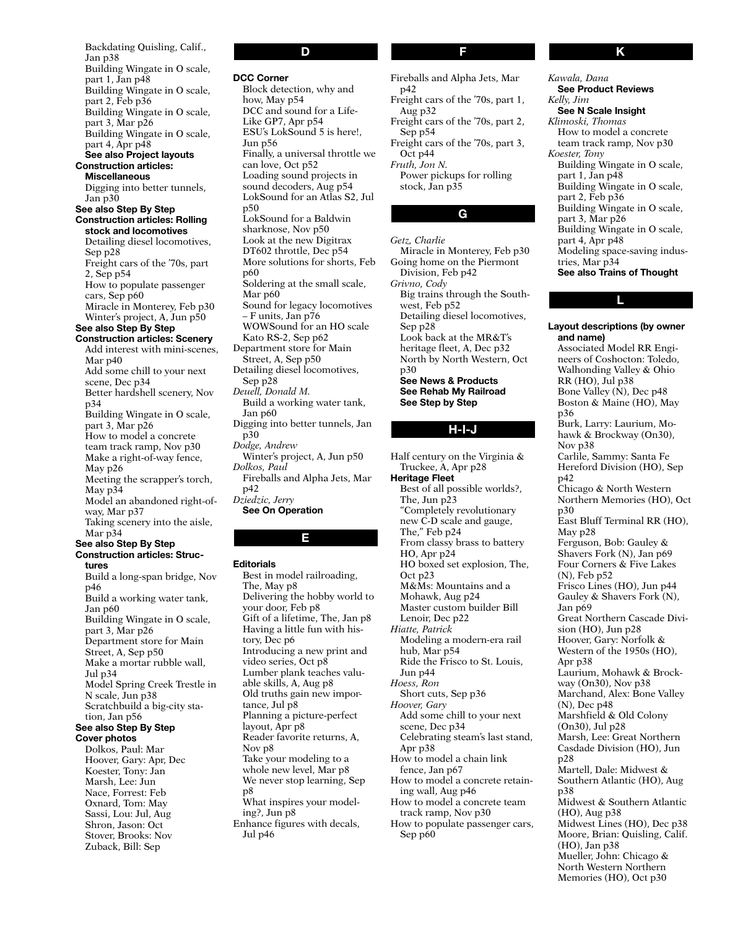Backdating Quisling, Calif., Jan p38 Building Wingate in O scale, part 1, Jan p48 Building Wingate in O scale, part 2, Feb p36 Building Wingate in O scale, part 3, Mar p26 Building Wingate in O scale, part 4, Apr p48 See also Project layouts Construction articles: Miscellaneous Digging into better tunnels, Jan p30 See also Step By Step Construction articles: Rolling stock and locomotives Detailing diesel locomotives, Sep p28 Freight cars of the '70s, part 2, Sep p54 How to populate passenger cars, Sep p60 Miracle in Monterey, Feb p30 Winter's project, A, Jun p50 See also Step By Step Construction articles: Scenery Add interest with mini-scenes, Mar p40 Add some chill to your next scene, Dec p34 Better hardshell scenery, Nov p34 Building Wingate in O scale, part 3, Mar p26 How to model a concrete team track ramp, Nov p30 Make a right-of-way fence, May p26 Meeting the scrapper's torch, May p34 Model an abandoned right-ofway, Mar p37 Taking scenery into the aisle, Mar p34 See also Step By Step Construction articles: Structures Build a long-span bridge, Nov p46 Build a working water tank, Jan p60 Building Wingate in O scale, part 3, Mar p26 Department store for Main Street, A, Sep p50 Make a mortar rubble wall, Jul p34 Model Spring Creek Trestle in N scale, Jun p38 Scratchbuild a big-city station, Jan p56 See also Step By Step Cover photos Dolkos, Paul: Mar Hoover, Gary: Apr, Dec Koester, Tony: Jan Marsh, Lee: Jun Nace, Forrest: Feb Oxnard, Tom: May Sassi, Lou: Jul, Aug Shron, Jason: Oct Stover, Brooks: Nov

Zuback, Bill: Sep

# D

DCC Corner

Block detection, why and how, May p54 DCC and sound for a Life-Like GP7, Apr p54 ESU's LokSound 5 is here!, Jun p56 Finally, a universal throttle we can love, Oct p52 Loading sound projects in sound decoders, Aug p54 LokSound for an Atlas S2, Jul p50 LokSound for a Baldwin sharknose, Nov p50 Look at the new Digitrax DT602 throttle, Dec p54 More solutions for shorts, Feb p60 Soldering at the small scale, Mar p60 Sound for legacy locomotives – F units, Jan p76 WOWSound for an HO scale Kato RS-2, Sep p62 Department store for Main Street, A, Sep p50 Detailing diesel locomotives, Sep p28 *Deuell, Donald M.* Build a working water tank, Jan p60 Digging into better tunnels, Jan p30 *Dodge, Andrew* Winter's project, A, Jun p50 *Dolkos, Paul* Fireballs and Alpha Jets, Mar p42 *Dziedzic, Jerry* See On Operation

### E

### **Editorials**

Best in model railroading, The, May p8 Delivering the hobby world to your door, Feb p8 Gift of a lifetime, The, Jan p8 Having a little fun with history, Dec p6 Introducing a new print and video series, Oct p8 Lumber plank teaches valuable skills, A, Aug p8 Old truths gain new importance, Jul p8 Planning a picture-perfect layout, Apr p8 Reader favorite returns, A, Nov p8 Take your modeling to a whole new level, Mar p8 We never stop learning, Sep p8 What inspires your modeling?, Jun p8 Enhance figures with decals, Jul p46

F

Fireballs and Alpha Jets, Mar p42 Freight cars of the '70s, part 1, Aug p32 Freight cars of the '70s, part 2, Sep p54 Freight cars of the '70s, part 3, Oct p44 *Fruth, Jon N.* Power pickups for rolling stock, Jan p35

G

*Getz, Charlie* Miracle in Monterey, Feb p30 Going home on the Piermont Division, Feb p42 *Grivno, Cody* Big trains through the Southwest, Feb p52 Detailing diesel locomotives, Sep p28 Look back at the MR&T's heritage fleet, A, Dec p32 North by North Western, Oct p30 See News & Products See Rehab My Railroad See Step by Step

# H-I-J

Half century on the Virginia & Truckee, A, Apr p28 Heritage Fleet Best of all possible worlds?, The, Jun p23 "Completely revolutionary new C-D scale and gauge, The," Feb p24 From classy brass to battery HO, Apr p24 HO boxed set explosion, The, Oct p23 M&Ms: Mountains and a Mohawk, Aug p24 Master custom builder Bill Lenoir, Dec p22 *Hiatte, Patrick* Modeling a modern-era rail hub, Mar p54 Ride the Frisco to St. Louis, Jun p44 *Hoess, Ron* Short cuts, Sep p36 *Hoover, Gary* Add some chill to your next scene, Dec p34 Celebrating steam's last stand, Apr p38 How to model a chain link fence, Jan p67 How to model a concrete retaining wall, Aug p46 How to model a concrete team track ramp, Nov p30 How to populate passenger cars, Sep p60

*Kawala, Dana* See Product Reviews *Kelly, Jim* See N Scale Insight *Klimoski, Thomas* How to model a concrete team track ramp, Nov p30 *Koester, Tony* Building Wingate in O scale, part 1, Jan p48 Building Wingate in O scale, part 2, Feb p36 Building Wingate in O scale, part 3, Mar p26 Building Wingate in O scale, part 4, Apr p48 Modeling space-saving industries, Mar p34 See also Trains of Thought

## L

Layout descriptions (by owner and name) Associated Model RR Engineers of Coshocton: Toledo, Walhonding Valley & Ohio RR (HO), Jul p38 Bone Valley (N), Dec p48 Boston & Maine (HO), May p36 Burk, Larry: Laurium, Mohawk & Brockway (On30), Nov p38 Carlile, Sammy: Santa Fe Hereford Division (HO), Sep p42 Chicago & North Western Northern Memories (HO), Oct p30 East Bluff Terminal RR (HO), May p28 Ferguson, Bob: Gauley & Shavers Fork (N), Jan p69 Four Corners & Five Lakes (N), Feb p52 Frisco Lines (HO), Jun p44 Gauley & Shavers Fork (N), Jan p69 Great Northern Cascade Division (HO), Jun p28 Hoover, Gary: Norfolk & Western of the 1950s (HO), Apr p38 Laurium, Mohawk & Brockway (On30), Nov p38 Marchand, Alex: Bone Valley (N), Dec p48 Marshfield & Old Colony (On30), Jul p28 Marsh, Lee: Great Northern Casdade Division (HO), Jun p28 Martell, Dale: Midwest & Southern Atlantic (HO), Aug p38 Midwest & Southern Atlantic (HO), Aug p38 Midwest Lines (HO), Dec p38 Moore, Brian: Quisling, Calif. (HO), Jan p38 Mueller, John: Chicago & North Western Northern Memories (HO), Oct p30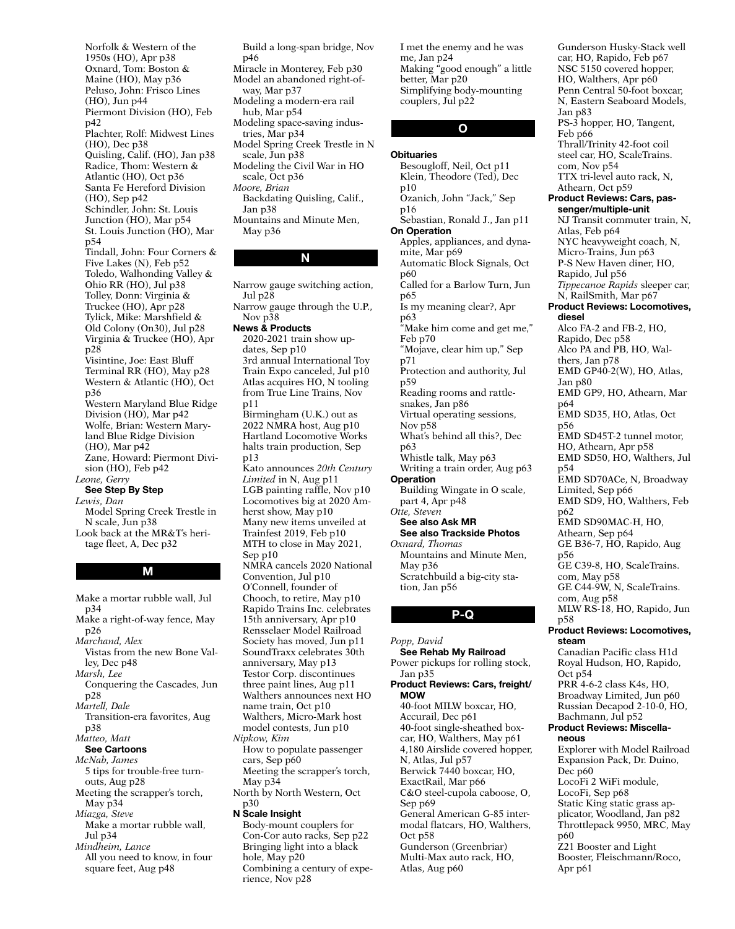Norfolk & Western of the 1950s (HO), Apr p38 Oxnard, Tom: Boston & Maine (HO), May p36 Peluso, John: Frisco Lines (HO), Jun p44 Piermont Division (HO), Feb p42 Plachter, Rolf: Midwest Lines (HO), Dec p38 Quisling, Calif. (HO), Jan p38 Radice, Thom: Western & Atlantic (HO), Oct p36 Santa Fe Hereford Division (HO), Sep p42 Schindler, John: St. Louis Junction (HO), Mar p54 St. Louis Junction (HO), Mar p54 Tindall, John: Four Corners & Five Lakes (N), Feb p52 Toledo, Walhonding Valley & Ohio RR (HO), Jul p38 Tolley, Donn: Virginia & Truckee (HO), Apr p28 Tylick, Mike: Marshfield & Old Colony (On30), Jul p28 Virginia & Truckee (HO), Apr p28 Visintine, Joe: East Bluff Terminal RR (HO), May p28 Western & Atlantic (HO), Oct p36 Western Maryland Blue Ridge Division (HO), Mar p42 Wolfe, Brian: Western Maryland Blue Ridge Division (HO), Mar p42 Zane, Howard: Piermont Division (HO), Feb p42 *Leone, Gerry* See Step By Step *Lewis, Dan* Model Spring Creek Trestle in N scale, Jun p38 Look back at the MR&T's heritage fleet, A, Dec p32

M

Make a mortar rubble wall, Jul p34 Make a right-of-way fence, May p26 *Marchand, Alex* Vistas from the new Bone Valley, Dec p48 *Marsh, Lee* Conquering the Cascades, Jun p28 *Martell, Dale* Transition-era favorites, Aug p38 *Matteo, Matt* See Cartoons *McNab, James* 5 tips for trouble-free turnouts, Aug p28 Meeting the scrapper's torch, May p34 *Miazga, Steve* Make a mortar rubble wall, Jul p34 *Mindheim, Lance* All you need to know, in four square feet, Aug p48

Build a long-span bridge, Nov p46 Miracle in Monterey, Feb p30 Model an abandoned right-ofway, Mar p37 Modeling a modern-era rail hub, Mar p54 Modeling space-saving industries, Mar p34 Model Spring Creek Trestle in N scale, Jun p38 Modeling the Civil War in HO scale, Oct p36 *Moore, Brian* Backdating Quisling, Calif., Jan p38 Mountains and Minute Men, May p36

# N

Narrow gauge switching action, Jul p28 Narrow gauge through the U.P., Nov p38 News & Products 2020-2021 train show updates, Sep p10 3rd annual International Toy Train Expo canceled, Jul p10 Atlas acquires HO, N tooling from True Line Trains, Nov p11 Birmingham (U.K.) out as 2022 NMRA host, Aug p10 Hartland Locomotive Works halts train production, Sep p13 Kato announces *20th Century Limited* in N, Aug p11 LGB painting raffle, Nov p10 Locomotives big at 2020 Amherst show, May p10 Many new items unveiled at Trainfest 2019, Feb p10 MTH to close in May 2021, Sep p10 NMRA cancels 2020 National Convention, Jul p10 O'Connell, founder of Chooch, to retire, May p10 Rapido Trains Inc. celebrates 15th anniversary, Apr p10 Rensselaer Model Railroad Society has moved, Jun p11 SoundTraxx celebrates 30th anniversary, May p13 Testor Corp. discontinues three paint lines, Aug p11 Walthers announces next HO name train, Oct p10 Walthers, Micro-Mark host model contests, Jun p10 *Nipkow, Kim* How to populate passenger cars, Sep p60 Meeting the scrapper's torch, May p34 North by North Western, Oct p30 N Scale Insight Body-mount couplers for Con-Cor auto racks, Sep p22 Bringing light into a black hole, May p20 Combining a century of expe-

rience, Nov p28

I met the enemy and he was me, Jan p24 Making "good enough" a little better, Mar p20 Simplifying body-mounting couplers, Jul p22

### O

### **Obituaries**

Besougloff, Neil, Oct p11 Klein, Theodore (Ted), Dec p10 Ozanich, John "Jack," Sep p16 Sebastian, Ronald J., Jan p11 On Operation Apples, appliances, and dynamite, Mar p69 Automatic Block Signals, Oct p60 Called for a Barlow Turn, Jun p65 Is my meaning clear?, Apr p63 "Make him come and get me," Feb p70 "Mojave, clear him up," Sep p71 Protection and authority, Jul p59 Reading rooms and rattlesnakes, Jan p86 Virtual operating sessions, Nov p58 What's behind all this?, Dec p63 Whistle talk, May p63 Writing a train order, Aug p63 **Operation** Building Wingate in O scale, part 4, Apr p48 *Otte, Steven* See also Ask MR See also Trackside Photos *Oxnard, Thomas* Mountains and Minute Men, May p36 Scratchbuild a big-city station, Jan p56

### P-Q

*Popp, David* See Rehab My Railroad Power pickups for rolling stock, Jan p35 Product Reviews: Cars, freight/ MOW 40-foot MILW boxcar, HO, Accurail, Dec p61 40-foot single-sheathed boxcar, HO, Walthers, May p61 4,180 Airslide covered hopper, N, Atlas, Jul p57 Berwick 7440 boxcar, HO, ExactRail, Mar p66 C&O steel-cupola caboose, O, Sep p69 General American G-85 intermodal flatcars, HO, Walthers, Oct p58 Gunderson (Greenbriar) Multi-Max auto rack, HO, Atlas, Aug p60

Apr p61

Gunderson Husky-Stack well car, HO, Rapido, Feb p67 NSC 5150 covered hopper, HO, Walthers, Apr p60 Penn Central 50-foot boxcar, N, Eastern Seaboard Models, Jan p83 PS-3 hopper, HO, Tangent, Feb p66 Thrall/Trinity 42-foot coil steel car, HO, ScaleTrains. com, Nov p54 TTX tri-level auto rack, N, Athearn, Oct p59 Product Reviews: Cars, passenger/multiple-unit NJ Transit commuter train, N, Atlas, Feb p64 NYC heavyweight coach, N, Micro-Trains, Jun p63 P-S New Haven diner, HO, Rapido, Jul p56 *Tippecanoe Rapids* sleeper car, N, RailSmith, Mar p67 Product Reviews: Locomotives, diesel Alco FA-2 and FB-2, HO, Rapido, Dec p58 Alco PA and PB, HO, Walthers, Jan p78 EMD GP40-2(W), HO, Atlas, Jan p80 EMD GP9, HO, Athearn, Mar p64 EMD SD35, HO, Atlas, Oct p56 EMD SD45T-2 tunnel motor, HO, Athearn, Apr p58 EMD SD50, HO, Walthers, Jul p54 EMD SD70ACe, N, Broadway Limited, Sep p66 EMD SD9, HO, Walthers, Feb p62 EMD SD90MAC-H, HO, Athearn, Sep p64 GE B36-7, HO, Rapido, Aug p56 GE C39-8, HO, ScaleTrains. com, May p58 GE C44-9W, N, ScaleTrains. com, Aug p58 MLW RS-18, HO, Rapido, Jun p58 Product Reviews: Locomotives, steam Canadian Pacific class H1d Royal Hudson, HO, Rapido, Oct p54 PRR 4-6-2 class K4s, HO, Broadway Limited, Jun p60 Russian Decapod 2-10-0, HO, Bachmann, Jul p52 Product Reviews: Miscellaneous Explorer with Model Railroad Expansion Pack, Dr. Duino, Dec p60 LocoFi 2 WiFi module, LocoFi, Sep p68 Static King static grass applicator, Woodland, Jan p82 Throttlepack 9950, MRC, May p60 Z21 Booster and Light Booster, Fleischmann/Roco,